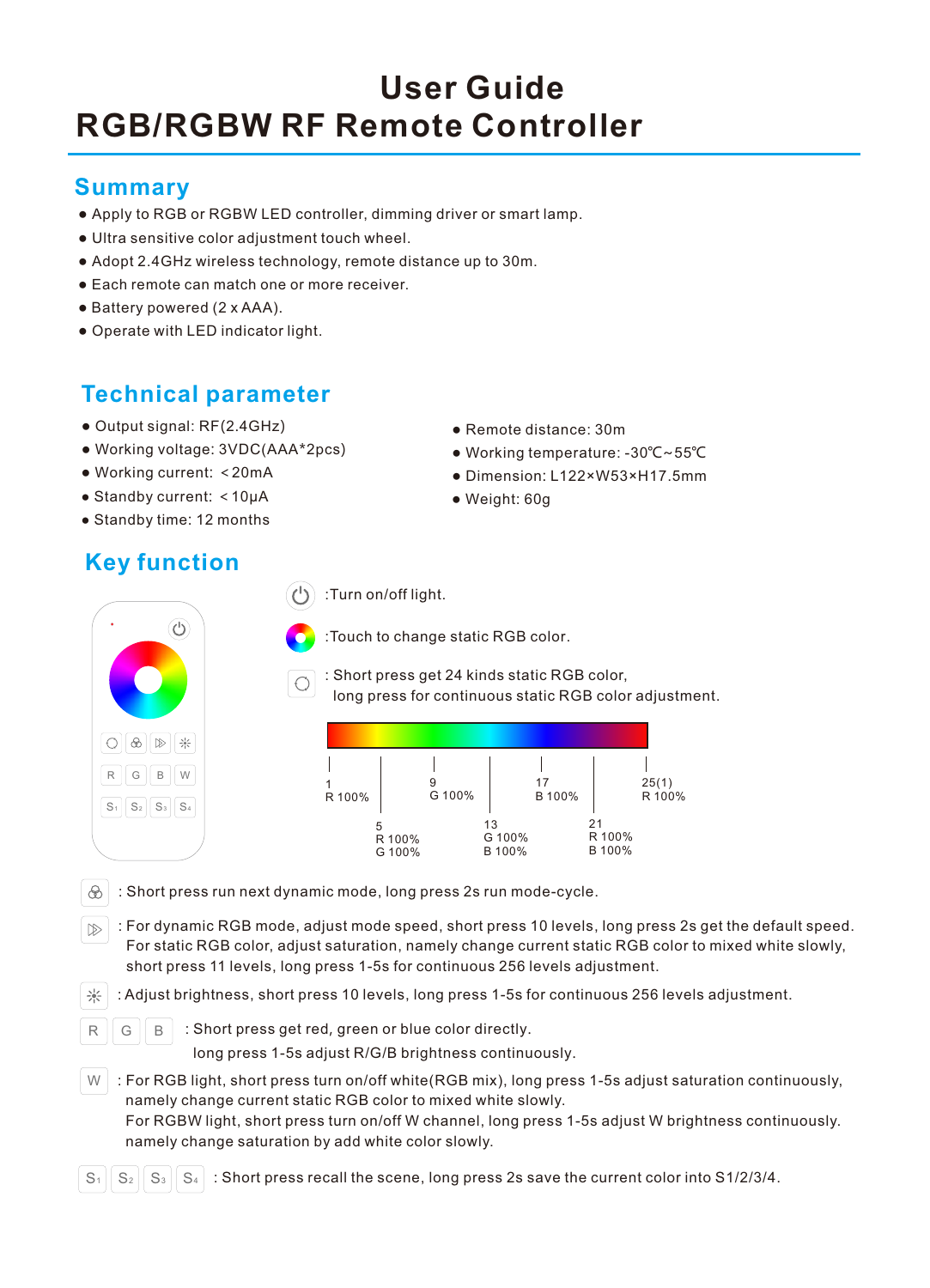# **RGB/RGBW RF Remote Controller User Guide**

### **Summary**

- Apply to RGB or RGBW LED controller, dimming driver or smart lamp.
- Ultra sensitive color adjustment touch wheel.
- Adopt 2.4GHz wireless technology, remote distance up to 30m.
- Each remote can match one or more receiver.
- Battery powered (2 x AAA).
- Operate with LED indicator light.

# **Technical parameter**

- Output signal: RF(2.4GHz)
- Working voltage: 3VDC(AAA\*2pcs)
- Working current: <20mA
- Standby current: <10μA
- Standby time: 12 months

# **Key function**

(1) :Turn on/off light.



:Touch to change static RGB color.

: Short press get 24 kinds static RGB color, long press for continuous static RGB color adjustment.

| R 100% |                  | G 100% |                        | 17<br>B 100% |                        | 25(1)<br>R 100% |
|--------|------------------|--------|------------------------|--------------|------------------------|-----------------|
| 5      | R 100%<br>G 100% |        | 13<br>G 100%<br>B 100% |              | 21<br>R 100%<br>B 100% |                 |

- $\mathcal{R}$  : Short press run next dynamic mode, long press 2s run mode-cycle.
- $\sqrt{p}$ : For dynamic RGB mode, adjust mode speed, short press 10 levels, long press 2s get the default speed. For static RGB color, adjust saturation, namely change current static RGB color to mixed white slowly, short press 11 levels, long press 1-5s for continuous 256 levels adjustment.
- : Adjust brightness, short press 10 levels, long press 1-5s for continuous 256 levels adjustment.
- $R \parallel G \parallel B \parallel$  : Short press get red, green or blue color directly.

long press 1-5s adjust R/G/B brightness continuously.

- W : For RGB light, short press turn on/off white(RGB mix), long press 1-5s adjust saturation continuously, namely change current static RGB color to mixed white slowly. For RGBW light, short press turn on/off W channel, long press 1-5s adjust W brightness continuously. namely change saturation by add white color slowly.
- $S_1$   $S_2$   $S_3$   $S_4$  : Short press recall the scene, long press 2s save the current color into S1/2/3/4.
- Remote distance: 30m
- Working temperature: -30℃~55℃
- Dimension: L122×W53×H17.5mm
- Weight: 60g